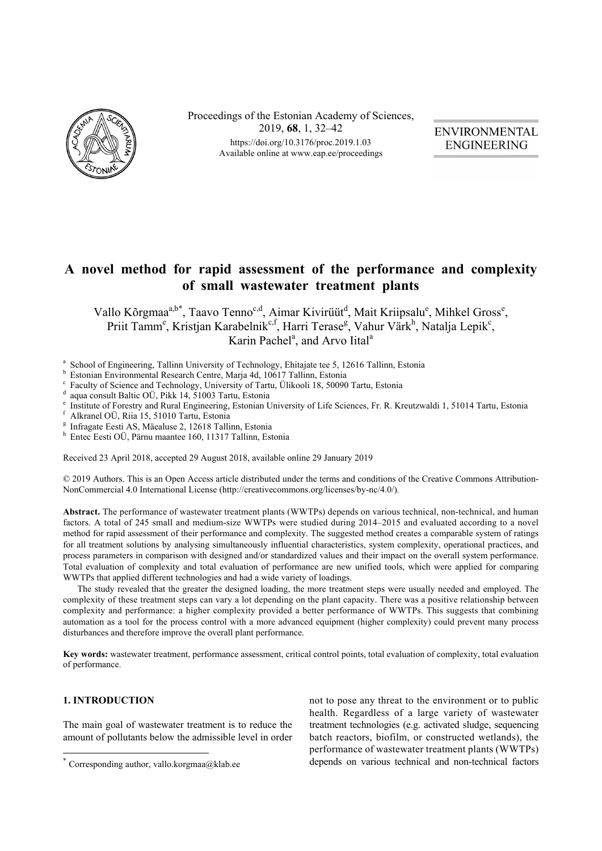

Proceedings of the Estonian Academy of Sciences, 2019, **68**, 1, 32–42 https://doi.org/10.3176/proc.2019.1.03 Available online at www.eap.ee/proceedings

**ENVIRONMENTAL ENGINEERING** 

# **A novel method for rapid assessment of the performance and complexity of small wastewater treatment plants**

Vallo Kõrgmaa<sup>a,b\*</sup>, Taavo Tenno<sup>c,d</sup>, Aimar Kivirüüt<sup>d</sup>, Mait Kriipsalu<sup>e</sup>, Mihkel Gross<sup>e</sup>, Priit Tamm<sup>e</sup>, Kristjan Karabelnik<sup>e, f</sup>, Harri Terase<sup>g</sup>, Vahur Värk<sup>h</sup>, Natalja Lepik<sup>e</sup>, Karin Pachel<sup>a</sup>, and Arvo Iital<sup>a</sup>

- <sup>a</sup> School of Engineering, Tallinn University of Technology, Ehitajate tee 5, 12616 Tallinn, Estonia
- Estonian Environmental Research Centre, Maria 4d, 10617 Tallinn, Estonia
- <sup>c</sup> Faculty of Science and Technology, University of Tartu, Ülikooli 18, 50090 Tartu, Estonia
- <sup>d</sup> aqua consult Baltic OÜ, Pikk 14, 51003 Tartu, Estonia
- <sup>e</sup> Institute of Forestry and Rural Engineering, Estonian University of Life Sciences, Fr. R. Kreutzwaldi 1, 51014 Tartu, Estonia
- Alkranel OÜ, Riia 15, 51010 Tartu, Estonia
- <sup>g</sup> Infragate Eesti AS, Mäealuse 2, 12618 Tallinn, Estonia<br>h Entes Eesti OU Bärnu meentee 160, 11317 Tellinn, Est
- <sup>h</sup> Entec Eesti OÜ, Pärnu maantee 160, 11317 Tallinn, Estonia

Received 23 April 2018, accepted 29 August 2018, available online 29 January 2019

© 2019 Authors. This is an Open Access article distributed under the terms and conditions of the Creative Commons Attribution-NonCommercial 4.0 International License (http://creativecommons.org/licenses/by-nc/4.0/)*.*

**Abstract.** The performance of wastewater treatment plants (WWTPs) depends on various technical, non-technical, and human factors. A total of 245 small and medium-size WWTPs were studied during 2014–2015 and evaluated according to a novel method for rapid assessment of their performance and complexity. The suggested method creates a comparable system of ratings for all treatment solutions by analysing simultaneously influential characteristics, system complexity, operational practices, and process parameters in comparison with designed and/or standardized values and their impact on the overall system performance. Total evaluation of complexity and total evaluation of performance are new unified tools, which were applied for comparing WWTPs that applied different technologies and had a wide variety of loadings.

The study revealed that the greater the designed loading, the more treatment steps were usually needed and employed. The complexity of these treatment steps can vary a lot depending on the plant capacity. There was a positive relationship between complexity and performance: a higher complexity provided a better performance of WWTPs. This suggests that combining automation as a tool for the process control with a more advanced equipment (higher complexity) could prevent many process disturbances and therefore improve the overall plant performance.

**Key words:** wastewater treatment, performance assessment, critical control points, total evaluation of complexity, total evaluation of performance.

# **1. INTRODUCTION**

 $\overline{a}$ 

The main goal of wastewater treatment is to reduce the amount of pollutants below the admissible level in order not to pose any threat to the environment or to public health. Regardless of a large variety of wastewater treatment technologies (e.g. activated sludge, sequencing batch reactors, biofilm, or constructed wetlands), the performance of wastewater treatment plants (WWTPs) depends on various technical and non-technical factors

 $*$  Corresponding author, vallo.korgmaa@klab.ee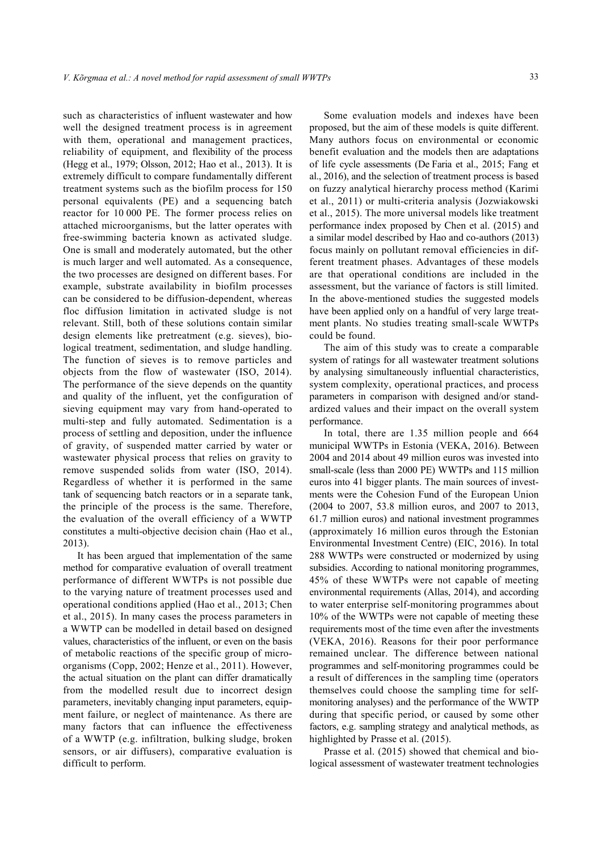such as characteristics of influent wastewater and how well the designed treatment process is in agreement with them, operational and management practices, reliability of equipment, and flexibility of the process (Hegg et al., 1979; Olsson, 2012; Hao et al., 2013). It is extremely difficult to compare fundamentally different treatment systems such as the biofilm process for 150 personal equivalents (PE) and a sequencing batch reactor for 10 000 PE. The former process relies on attached microorganisms, but the latter operates with free-swimming bacteria known as activated sludge. One is small and moderately automated, but the other is much larger and well automated. As a consequence, the two processes are designed on different bases. For example, substrate availability in biofilm processes can be considered to be diffusion-dependent, whereas floc diffusion limitation in activated sludge is not relevant. Still, both of these solutions contain similar design elements like pretreatment (e.g. sieves), biological treatment, sedimentation, and sludge handling. The function of sieves is to remove particles and objects from the flow of wastewater (ISO, 2014). The performance of the sieve depends on the quantity and quality of the influent, yet the configuration of sieving equipment may vary from hand-operated to multi-step and fully automated. Sedimentation is a process of settling and deposition, under the influence of gravity, of suspended matter carried by water or wastewater physical process that relies on gravity to remove suspended solids from water (ISO, 2014). Regardless of whether it is performed in the same tank of sequencing batch reactors or in a separate tank, the principle of the process is the same. Therefore, the evaluation of the overall efficiency of a WWTP constitutes a multi-objective decision chain (Hao et al., 2013).

It has been argued that implementation of the same method for comparative evaluation of overall treatment performance of different WWTPs is not possible due to the varying nature of treatment processes used and operational conditions applied (Hao et al., 2013; Chen et al., 2015). In many cases the process parameters in a WWTP can be modelled in detail based on designed values, characteristics of the influent, or even on the basis of metabolic reactions of the specific group of microorganisms (Copp, 2002; Henze et al., 2011). However, the actual situation on the plant can differ dramatically from the modelled result due to incorrect design parameters, inevitably changing input parameters, equipment failure, or neglect of maintenance. As there are many factors that can influence the effectiveness of a WWTP (e.g. infiltration, bulking sludge, broken sensors, or air diffusers), comparative evaluation is difficult to perform.

Some evaluation models and indexes have been proposed, but the aim of these models is quite different. Many authors focus on environmental or economic benefit evaluation and the models then are adaptations of life cycle assessments (De Faria et al., 2015; Fang et al., 2016), and the selection of treatment process is based on fuzzy analytical hierarchy process method (Karimi et al., 2011) or multi-criteria analysis (Jozwiakowski et al., 2015). The more universal models like treatment performance index proposed by Chen et al. (2015) and a similar model described by Hao and co-authors (2013) focus mainly on pollutant removal efficiencies in different treatment phases. Advantages of these models are that operational conditions are included in the assessment, but the variance of factors is still limited. In the above-mentioned studies the suggested models have been applied only on a handful of very large treatment plants. No studies treating small-scale WWTPs could be found.

The aim of this study was to create a comparable system of ratings for all wastewater treatment solutions by analysing simultaneously influential characteristics, system complexity, operational practices, and process parameters in comparison with designed and/or standardized values and their impact on the overall system performance.

In total, there are 1.35 million people and 664 municipal WWTPs in Estonia (VEKA, 2016). Between 2004 and 2014 about 49 million euros was invested into small-scale (less than 2000 PE) WWTPs and 115 million euros into 41 bigger plants. The main sources of investments were the Cohesion Fund of the European Union (2004 to 2007, 53.8 million euros, and 2007 to 2013, 61.7 million euros) and national investment programmes (approximately 16 million euros through the Estonian Environmental Investment Centre) (EIC, 2016). In total 288 WWTPs were constructed or modernized by using subsidies. According to national monitoring programmes, 45% of these WWTPs were not capable of meeting environmental requirements (Allas, 2014), and according to water enterprise self-monitoring programmes about 10% of the WWTPs were not capable of meeting these requirements most of the time even after the investments (VEKA, 2016). Reasons for their poor performance remained unclear. The difference between national programmes and self-monitoring programmes could be a result of differences in the sampling time (operators themselves could choose the sampling time for selfmonitoring analyses) and the performance of the WWTP during that specific period, or caused by some other factors, e.g. sampling strategy and analytical methods, as highlighted by Prasse et al. (2015).

Prasse et al. (2015) showed that chemical and biological assessment of wastewater treatment technologies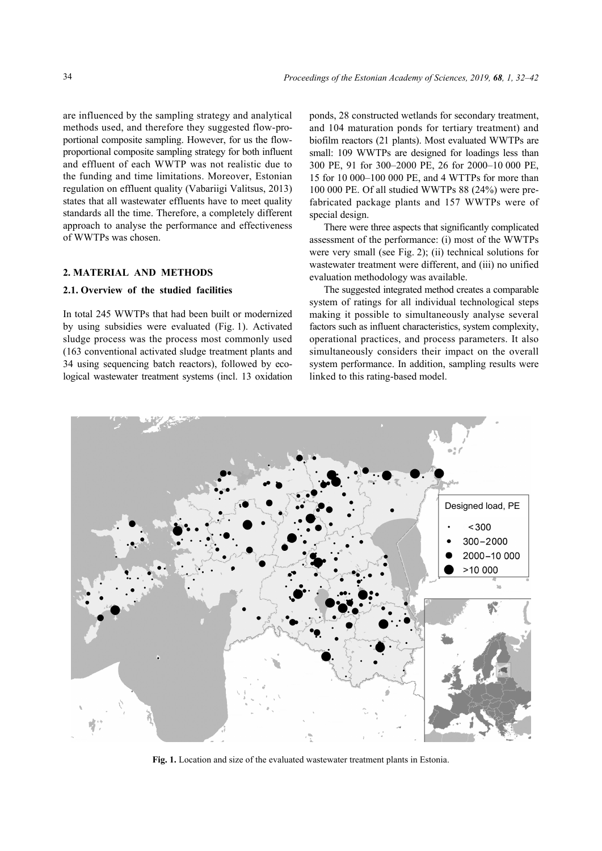are influenced by the sampling strategy and analytical methods used, and therefore they suggested flow-proportional composite sampling. However, for us the flowproportional composite sampling strategy for both influent and effluent of each WWTP was not realistic due to the funding and time limitations. Moreover, Estonian regulation on effluent quality (Vabariigi Valitsus, 2013) states that all wastewater effluents have to meet quality standards all the time. Therefore, a completely different approach to analyse the performance and effectiveness of WWTPs was chosen.

# **2. MATERIAL AND METHODS**

### **2.1. Overview of the studied facilities**

In total 245 WWTPs that had been built or modernized by using subsidies were evaluated (Fig. 1). Activated sludge process was the process most commonly used (163 conventional activated sludge treatment plants and 34 using sequencing batch reactors), followed by ecological wastewater treatment systems (incl. 13 oxidation ponds, 28 constructed wetlands for secondary treatment, and 104 maturation ponds for tertiary treatment) and biofilm reactors (21 plants). Most evaluated WWTPs are small: 109 WWTPs are designed for loadings less than 300 PE, 91 for 300–2000 PE, 26 for 2000–10 000 PE, 15 for 10 000–100 000 PE, and 4 WTTPs for more than 100 000 PE. Of all studied WWTPs 88 (24%) were prefabricated package plants and 157 WWTPs were of special design.

There were three aspects that significantly complicated assessment of the performance: (i) most of the WWTPs were very small (see Fig. 2); (ii) technical solutions for wastewater treatment were different, and (iii) no unified evaluation methodology was available.

The suggested integrated method creates a comparable system of ratings for all individual technological steps making it possible to simultaneously analyse several factors such as influent characteristics, system complexity, operational practices, and process parameters. It also simultaneously considers their impact on the overall system performance. In addition, sampling results were linked to this rating-based model.



**Fig. 1.** Location and size of the evaluated wastewater treatment plants in Estonia.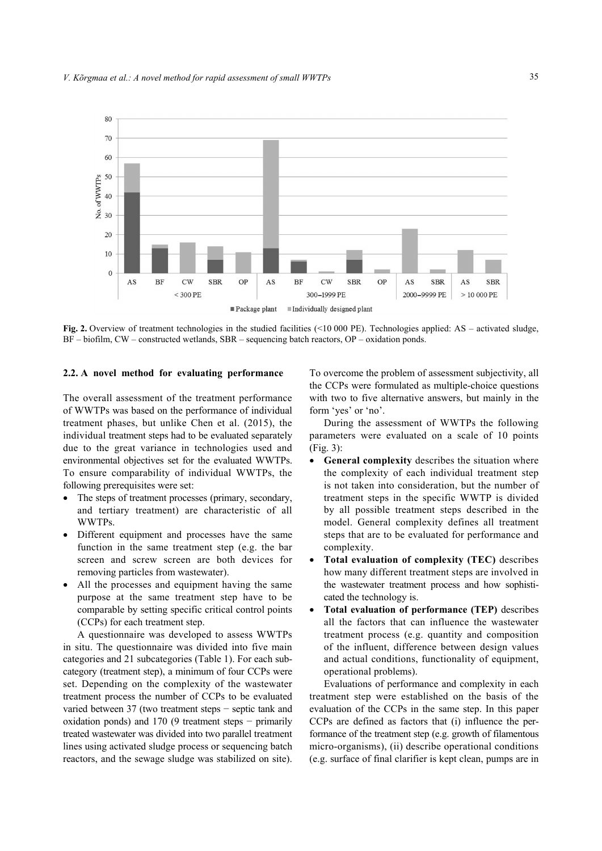

**Fig. 2.** Overview of treatment technologies in the studied facilities (<10 000 PE). Technologies applied: AS – activated sludge, BF – biofilm, CW – constructed wetlands, SBR – sequencing batch reactors, OP – oxidation ponds.

### **2.2. A novel method for evaluating performance**

The overall assessment of the treatment performance of WWTPs was based on the performance of individual treatment phases, but unlike Chen et al. (2015), the individual treatment steps had to be evaluated separately due to the great variance in technologies used and environmental objectives set for the evaluated WWTPs. To ensure comparability of individual WWTPs, the following prerequisites were set:

- The steps of treatment processes (primary, secondary, and tertiary treatment) are characteristic of all WWTPs.
- Different equipment and processes have the same function in the same treatment step (e.g. the bar screen and screw screen are both devices for removing particles from wastewater).
- All the processes and equipment having the same purpose at the same treatment step have to be comparable by setting specific critical control points (CCPs) for each treatment step.

A questionnaire was developed to assess WWTPs in situ. The questionnaire was divided into five main categories and 21 subcategories (Table 1). For each subcategory (treatment step), a minimum of four CCPs were set. Depending on the complexity of the wastewater treatment process the number of CCPs to be evaluated varied between 37 (two treatment steps − septic tank and oxidation ponds) and 170 (9 treatment steps − primarily treated wastewater was divided into two parallel treatment lines using activated sludge process or sequencing batch reactors, and the sewage sludge was stabilized on site).

To overcome the problem of assessment subjectivity, all the CCPs were formulated as multiple-choice questions with two to five alternative answers, but mainly in the form 'yes' or 'no'.

During the assessment of WWTPs the following parameters were evaluated on a scale of 10 points (Fig. 3):

- **•** General complexity describes the situation where the complexity of each individual treatment step is not taken into consideration, but the number of treatment steps in the specific WWTP is divided by all possible treatment steps described in the model. General complexity defines all treatment steps that are to be evaluated for performance and complexity.
- **Total evaluation of complexity (TEC)** describes how many different treatment steps are involved in the wastewater treatment process and how sophisticated the technology is.
- **Total evaluation of performance (TEP)** describes all the factors that can influence the wastewater treatment process (e.g. quantity and composition of the influent, difference between design values and actual conditions, functionality of equipment, operational problems).

Evaluations of performance and complexity in each treatment step were established on the basis of the evaluation of the CCPs in the same step. In this paper CCPs are defined as factors that (i) influence the performance of the treatment step (e.g. growth of filamentous micro-organisms), (ii) describe operational conditions (e.g. surface of final clarifier is kept clean, pumps are in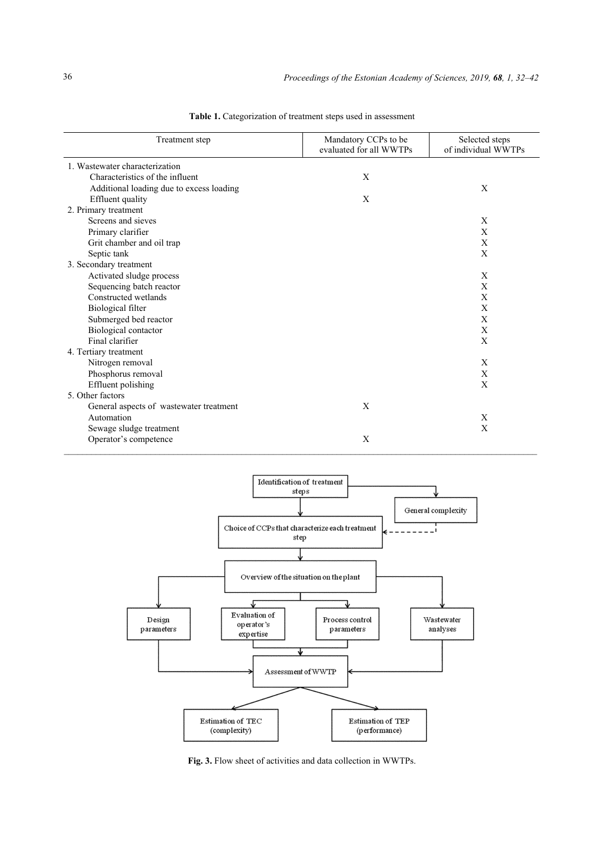| Treatment step                           | Mandatory CCPs to be<br>evaluated for all WWTPs | Selected steps<br>of individual WWTPs |
|------------------------------------------|-------------------------------------------------|---------------------------------------|
| 1. Wastewater characterization           |                                                 |                                       |
| Characteristics of the influent          | X                                               |                                       |
| Additional loading due to excess loading |                                                 | X                                     |
| Effluent quality                         | X                                               |                                       |
| 2. Primary treatment                     |                                                 |                                       |
| Screens and sieves                       |                                                 | X                                     |
| Primary clarifier                        |                                                 | X                                     |
| Grit chamber and oil trap                |                                                 | X                                     |
| Septic tank                              |                                                 | X                                     |
| 3. Secondary treatment                   |                                                 |                                       |
| Activated sludge process                 |                                                 | X                                     |
| Sequencing batch reactor                 |                                                 | X                                     |
| Constructed wetlands                     |                                                 | X                                     |
| Biological filter                        |                                                 | X                                     |
| Submerged bed reactor                    |                                                 | X                                     |
| Biological contactor                     |                                                 | X                                     |
| Final clarifier                          |                                                 | X                                     |
| 4. Tertiary treatment                    |                                                 |                                       |
| Nitrogen removal                         |                                                 | X                                     |
| Phosphorus removal                       |                                                 | X                                     |
| Effluent polishing                       |                                                 | X                                     |
| 5. Other factors                         |                                                 |                                       |
| General aspects of wastewater treatment  | X                                               |                                       |
| Automation                               |                                                 | $\mathbf X$                           |
| Sewage sludge treatment                  |                                                 | X                                     |
| Operator's competence                    | X                                               |                                       |

Table 1. Categorization of treatment steps used in assessment



Fig. 3. Flow sheet of activities and data collection in WWTPs.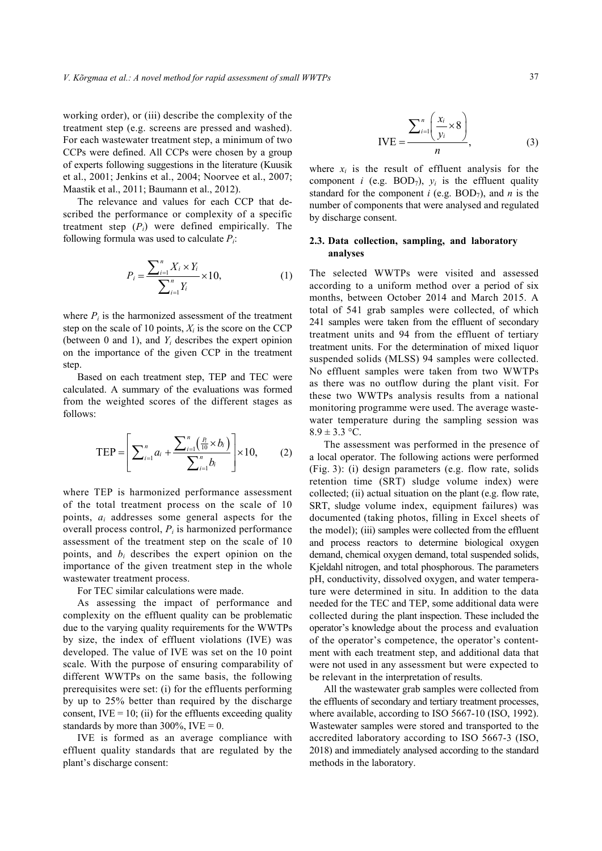working order), or (iii) describe the complexity of the treatment step (e.g. screens are pressed and washed). For each wastewater treatment step, a minimum of two CCPs were defined. All CCPs were chosen by a group of experts following suggestions in the literature (Kuusik et al., 2001; Jenkins et al., 2004; Noorvee et al., 2007; Maastik et al., 2011; Baumann et al., 2012).

The relevance and values for each CCP that described the performance or complexity of a specific treatment step  $(P_i)$  were defined empirically. The following formula was used to calculate *Pi*:

$$
P_i = \frac{\sum_{i=1}^{n} X_i \times Y_i}{\sum_{i=1}^{n} Y_i} \times 10,
$$
 (1)

where  $P_i$  is the harmonized assessment of the treatment step on the scale of 10 points,  $X_i$  is the score on the CCP (between 0 and 1), and *Yi* describes the expert opinion on the importance of the given CCP in the treatment step.

Based on each treatment step, TEP and TEC were calculated. A summary of the evaluations was formed from the weighted scores of the different stages as follows:

$$
\text{TEP} = \left[ \sum_{i=1}^{n} a_i + \frac{\sum_{i=1}^{n} \left( \frac{P_i}{10} \times b_i \right)}{\sum_{i=1}^{n} b_i} \right] \times 10, \quad (2)
$$

where TEP is harmonized performance assessment of the total treatment process on the scale of 10 points, *ai* addresses some general aspects for the overall process control, *Pi* is harmonized performance assessment of the treatment step on the scale of 10 points, and *bi* describes the expert opinion on the importance of the given treatment step in the whole wastewater treatment process.

For TEC similar calculations were made.

As assessing the impact of performance and complexity on the effluent quality can be problematic due to the varying quality requirements for the WWTPs by size, the index of effluent violations (IVE) was developed. The value of IVE was set on the 10 point scale. With the purpose of ensuring comparability of different WWTPs on the same basis, the following prerequisites were set: (i) for the effluents performing by up to 25% better than required by the discharge consent,  $IVE = 10$ ; (ii) for the effluents exceeding quality standards by more than  $300\%$ , IVE = 0.

IVE is formed as an average compliance with effluent quality standards that are regulated by the plant's discharge consent:

$$
IVE = \frac{\sum_{i=1}^{n} \left(\frac{x_i}{y_i} \times 8\right)}{n},
$$
\n(3)

where  $x_i$  is the result of effluent analysis for the component *i* (e.g.  $BOD_7$ ),  $y_i$  is the effluent quality standard for the component  $i$  (e.g. BOD<sub>7</sub>), and  $n$  is the number of components that were analysed and regulated by discharge consent.

## **2.3. Data collection, sampling, and laboratory analyses**

The selected WWTPs were visited and assessed according to a uniform method over a period of six months, between October 2014 and March 2015. A total of 541 grab samples were collected, of which 241 samples were taken from the effluent of secondary treatment units and 94 from the effluent of tertiary treatment units. For the determination of mixed liquor suspended solids (MLSS) 94 samples were collected. No effluent samples were taken from two WWTPs as there was no outflow during the plant visit. For these two WWTPs analysis results from a national monitoring programme were used. The average wastewater temperature during the sampling session was  $8.9 \pm 3.3$  °C.

The assessment was performed in the presence of a local operator. The following actions were performed (Fig. 3): (i) design parameters (e.g. flow rate, solids retention time (SRT) sludge volume index) were collected; (ii) actual situation on the plant (e.g. flow rate, SRT, sludge volume index, equipment failures) was documented (taking photos, filling in Excel sheets of the model); (iii) samples were collected from the effluent and process reactors to determine biological oxygen demand, chemical oxygen demand, total suspended solids, Kjeldahl nitrogen, and total phosphorous. The parameters pH, conductivity, dissolved oxygen, and water temperature were determined in situ. In addition to the data needed for the TEC and TEP, some additional data were collected during the plant inspection. These included the operator's knowledge about the process and evaluation of the operator's competence, the operator's contentment with each treatment step, and additional data that were not used in any assessment but were expected to be relevant in the interpretation of results.

All the wastewater grab samples were collected from the effluents of secondary and tertiary treatment processes, where available, according to ISO 5667-10 (ISO, 1992). Wastewater samples were stored and transported to the accredited laboratory according to ISO 5667-3 (ISO, 2018) and immediately analysed according to the standard methods in the laboratory.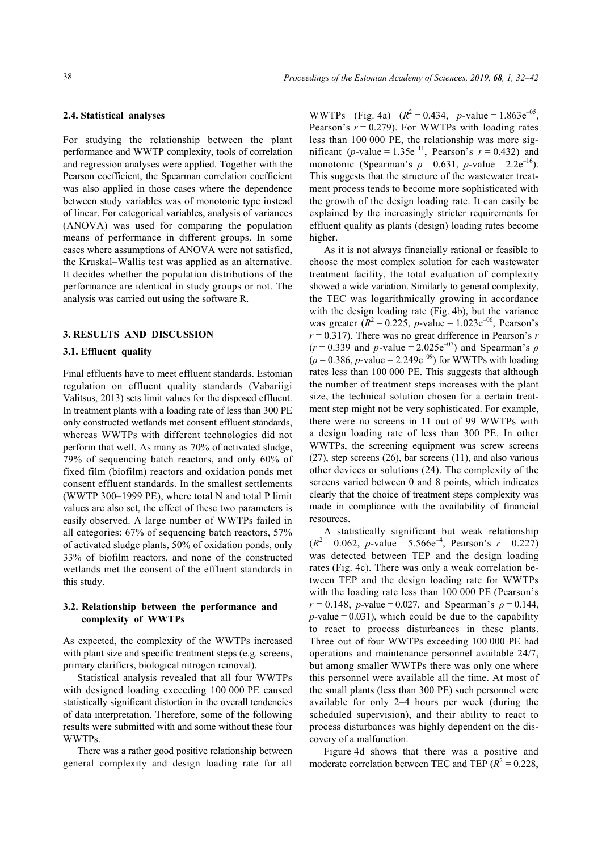#### **2.4. Statistical analyses**

For studying the relationship between the plant performance and WWTP complexity, tools of correlation and regression analyses were applied. Together with the Pearson coefficient, the Spearman correlation coefficient was also applied in those cases where the dependence between study variables was of monotonic type instead of linear. For categorical variables, analysis of variances (ANOVA) was used for comparing the population means of performance in different groups. In some cases where assumptions of ANOVA were not satisfied, the Kruskal–Wallis test was applied as an alternative. It decides whether the population distributions of the performance are identical in study groups or not. The analysis was carried out using the software R.

#### **3. RESULTS AND DISCUSSION**

## **3.1. Effluent quality**

Final effluents have to meet effluent standards. Estonian regulation on effluent quality standards (Vabariigi Valitsus, 2013) sets limit values for the disposed effluent. In treatment plants with a loading rate of less than 300 PE only constructed wetlands met consent effluent standards, whereas WWTPs with different technologies did not perform that well. As many as 70% of activated sludge, 79% of sequencing batch reactors, and only 60% of fixed film (biofilm) reactors and oxidation ponds met consent effluent standards. In the smallest settlements (WWTP 300–1999 PE), where total N and total P limit values are also set, the effect of these two parameters is easily observed. A large number of WWTPs failed in all categories: 67% of sequencing batch reactors, 57% of activated sludge plants, 50% of oxidation ponds, only 33% of biofilm reactors, and none of the constructed wetlands met the consent of the effluent standards in this study.

# **3.2. Relationship between the performance and complexity of WWTPs**

As expected, the complexity of the WWTPs increased with plant size and specific treatment steps (e.g. screens, primary clarifiers, biological nitrogen removal).

Statistical analysis revealed that all four WWTPs with designed loading exceeding 100 000 PE caused statistically significant distortion in the overall tendencies of data interpretation. Therefore, some of the following results were submitted with and some without these four WWTPs.

There was a rather good positive relationship between general complexity and design loading rate for all

WWTPs (Fig. 4a)  $(R^2 = 0.434, p-value = 1.863e^{-0.5})$ , Pearson's  $r = 0.279$ . For WWTPs with loading rates less than 100 000 PE, the relationship was more significant (*p*-value =  $1.35e^{-11}$ , Pearson's  $r = 0.432$ ) and monotonic (Spearman's  $\rho = 0.631$ , *p*-value = 2.2e<sup>-16</sup>). This suggests that the structure of the wastewater treatment process tends to become more sophisticated with the growth of the design loading rate. It can easily be explained by the increasingly stricter requirements for effluent quality as plants (design) loading rates become higher.

As it is not always financially rational or feasible to choose the most complex solution for each wastewater treatment facility, the total evaluation of complexity showed a wide variation. Similarly to general complexity, the TEC was logarithmically growing in accordance with the design loading rate (Fig. 4b), but the variance was greater  $(R^2 = 0.225, p-value = 1.023e^{-0.6}$ , Pearson's  $r = 0.317$ ). There was no great difference in Pearson's *r*  $(r = 0.339$  and *p*-value = 2.025e<sup>-07</sup>) and Spearman's *ρ*  $(\rho = 0.386, p-value = 2.249e^{-0.9})$  for WWTPs with loading rates less than 100 000 PE. This suggests that although the number of treatment steps increases with the plant size, the technical solution chosen for a certain treatment step might not be very sophisticated. For example, there were no screens in 11 out of 99 WWTPs with a design loading rate of less than 300 PE. In other WWTPs, the screening equipment was screw screens (27), step screens (26), bar screens (11), and also various other devices or solutions (24). The complexity of the screens varied between 0 and 8 points, which indicates clearly that the choice of treatment steps complexity was made in compliance with the availability of financial resources.

A statistically significant but weak relationship  $(R^2 = 0.062, p-value = 5.566e^{-4}, Pearson's r = 0.227)$ was detected between TEP and the design loading rates (Fig. 4c). There was only a weak correlation between TEP and the design loading rate for WWTPs with the loading rate less than 100 000 PE (Pearson's *r* = 0.148, *p*-value = 0.027, and Spearman's  $\rho$  = 0.144,  $p$ -value = 0.031), which could be due to the capability to react to process disturbances in these plants. Three out of four WWTPs exceeding 100 000 PE had operations and maintenance personnel available 24/7, but among smaller WWTPs there was only one where this personnel were available all the time. At most of the small plants (less than 300 PE) such personnel were available for only 2–4 hours per week (during the scheduled supervision), and their ability to react to process disturbances was highly dependent on the discovery of a malfunction.

Figure 4d shows that there was a positive and moderate correlation between TEC and TEP  $(R^2 = 0.228,$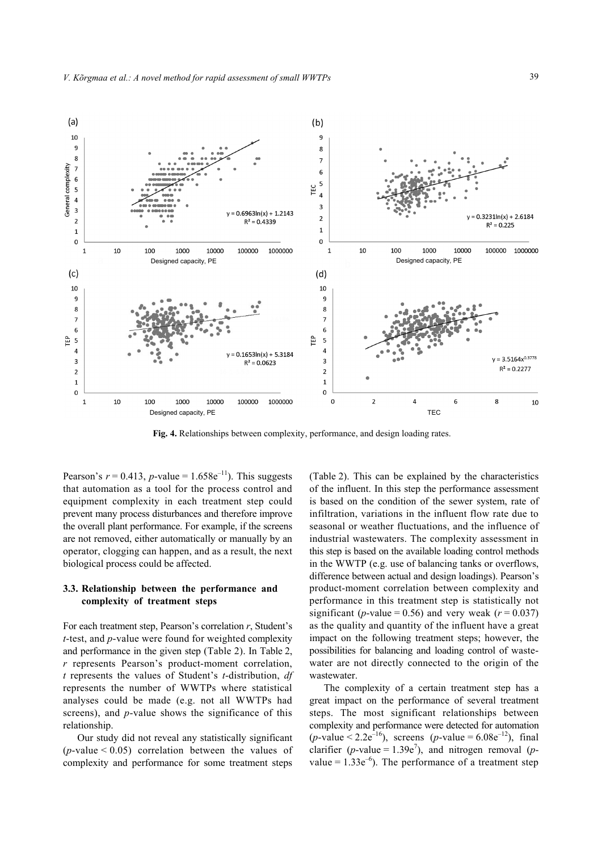

**Fig. 4.** Relationships between complexity, performance, and design loading rates.

Pearson's  $r = 0.413$ , *p*-value = 1.658e<sup>-11</sup>). This suggests that automation as a tool for the process control and equipment complexity in each treatment step could prevent many process disturbances and therefore improve the overall plant performance. For example, if the screens are not removed, either automatically or manually by an operator, clogging can happen, and as a result, the next biological process could be affected.

## **3.3. Relationship between the performance and complexity of treatment steps**

For each treatment step, Pearson's correlation *r*, Student's *t*-test, and *p*-value were found for weighted complexity and performance in the given step (Table 2). In Table 2, *r* represents Pearson's product-moment correlation, *t* represents the values of Student's *t*-distribution, *df* represents the number of WWTPs where statistical analyses could be made (e.g. not all WWTPs had screens), and *p*-value shows the significance of this relationship.

Our study did not reveal any statistically significant ( $p$ -value < 0.05) correlation between the values of complexity and performance for some treatment steps

(Table 2). This can be explained by the characteristics of the influent. In this step the performance assessment is based on the condition of the sewer system, rate of infiltration, variations in the influent flow rate due to seasonal or weather fluctuations, and the influence of industrial wastewaters. The complexity assessment in this step is based on the available loading control methods in the WWTP (e.g. use of balancing tanks or overflows, difference between actual and design loadings). Pearson's product-moment correlation between complexity and performance in this treatment step is statistically not significant (*p*-value = 0.56) and very weak ( $r = 0.037$ ) as the quality and quantity of the influent have a great impact on the following treatment steps; however, the possibilities for balancing and loading control of wastewater are not directly connected to the origin of the wastewater.

The complexity of a certain treatment step has a great impact on the performance of several treatment steps. The most significant relationships between complexity and performance were detected for automation  $(p$ -value < 2.2e<sup>-16</sup>), screens  $(p$ -value = 6.08e<sup>-12</sup>), final clarifier (*p*-value =  $1.39e^7$ ), and nitrogen removal (*p*value =  $1.33e^{-6}$ ). The performance of a treatment step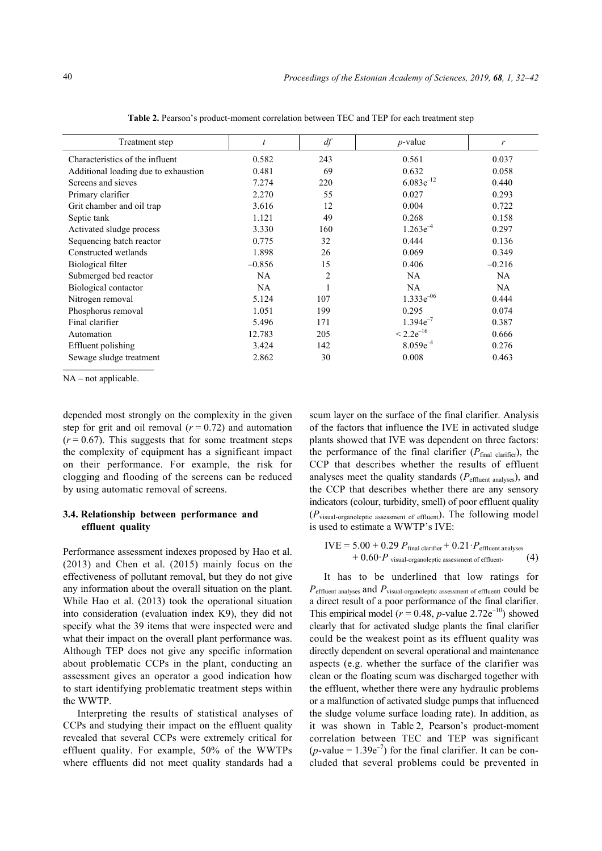| Treatment step                       |           | df             | $p$ -value     | r        |
|--------------------------------------|-----------|----------------|----------------|----------|
|                                      |           |                |                |          |
| Characteristics of the influent      | 0.582     | 243            | 0.561          | 0.037    |
| Additional loading due to exhaustion | 0.481     | 69             | 0.632          | 0.058    |
| Screens and sieves                   | 7.274     | 220            | $6.083e^{-12}$ | 0.440    |
| Primary clarifier                    | 2.270     | 55             | 0.027          | 0.293    |
| Grit chamber and oil trap            | 3.616     | 12             | 0.004          | 0.722    |
| Septic tank                          | 1.121     | 49             | 0.268          | 0.158    |
| Activated sludge process             | 3.330     | 160            | $1.263e^{-4}$  | 0.297    |
| Sequencing batch reactor             | 0.775     | 32             | 0.444          | 0.136    |
| Constructed wetlands                 | 1.898     | 26             | 0.069          | 0.349    |
| Biological filter                    | $-0.856$  | 15             | 0.406          | $-0.216$ |
| Submerged bed reactor                | NA.       | $\overline{2}$ | NA.            | NA       |
| Biological contactor                 | <b>NA</b> |                | <b>NA</b>      | NA.      |
| Nitrogen removal                     | 5.124     | 107            | $1.333e^{-06}$ | 0.444    |
| Phosphorus removal                   | 1.051     | 199            | 0.295          | 0.074    |
| Final clarifier                      | 5.496     | 171            | $1.394e^{-7}$  | 0.387    |
| Automation                           | 12.783    | 205            | $< 2.2e^{-16}$ | 0.666    |
| Effluent polishing                   | 3.424     | 142            | $8.059e^{-4}$  | 0.276    |
| Sewage sludge treatment              | 2.862     | 30             | 0.008          | 0.463    |
|                                      |           |                |                |          |

Table 2. Pearson's product-moment correlation between TEC and TEP for each treatment step

NA – not applicable.

depended most strongly on the complexity in the given step for grit and oil removal  $(r = 0.72)$  and automation  $(r = 0.67)$ . This suggests that for some treatment steps the complexity of equipment has a significant impact on their performance. For example, the risk for clogging and flooding of the screens can be reduced by using automatic removal of screens.

# **3.4. Relationship between performance and effluent quality**

Performance assessment indexes proposed by Hao et al. (2013) and Chen et al. (2015) mainly focus on the effectiveness of pollutant removal, but they do not give any information about the overall situation on the plant. While Hao et al. (2013) took the operational situation into consideration (evaluation index K9), they did not specify what the 39 items that were inspected were and what their impact on the overall plant performance was. Although TEP does not give any specific information about problematic CCPs in the plant, conducting an assessment gives an operator a good indication how to start identifying problematic treatment steps within the WWTP.

Interpreting the results of statistical analyses of CCPs and studying their impact on the effluent quality revealed that several CCPs were extremely critical for effluent quality. For example, 50% of the WWTPs where effluents did not meet quality standards had a

scum layer on the surface of the final clarifier. Analysis of the factors that influence the IVE in activated sludge plants showed that IVE was dependent on three factors: the performance of the final clarifier  $(P_{final \text{ clarifier}})$ , the CCP that describes whether the results of effluent analyses meet the quality standards (*P*effluent analyses), and the CCP that describes whether there are any sensory indicators (colour, turbidity, smell) of poor effluent quality (*P*visual-organoleptic assessment of effluent). The following model is used to estimate a WWTP's IVE:

$$
IVE = 5.00 + 0.29 Pfinal clarifier + 0.21 Peffluent analyses + 0.60 Pvisual-organoleptic assessment of effluent. (4)
$$

It has to be underlined that low ratings for *P*effluent analyses and *P*<sub>visual-organoleptic assessment of effluentt could be</sub> a direct result of a poor performance of the final clarifier. This empirical model ( $r = 0.48$ , *p*-value 2.72e<sup>-10</sup>) showed clearly that for activated sludge plants the final clarifier could be the weakest point as its effluent quality was directly dependent on several operational and maintenance aspects (e.g. whether the surface of the clarifier was clean or the floating scum was discharged together with the effluent, whether there were any hydraulic problems or a malfunction of activated sludge pumps that influenced the sludge volume surface loading rate). In addition, as it was shown in Table 2, Pearson's product-moment correlation between TEC and TEP was significant  $(p$ -value =  $1.39e^{-7}$ ) for the final clarifier. It can be concluded that several problems could be prevented in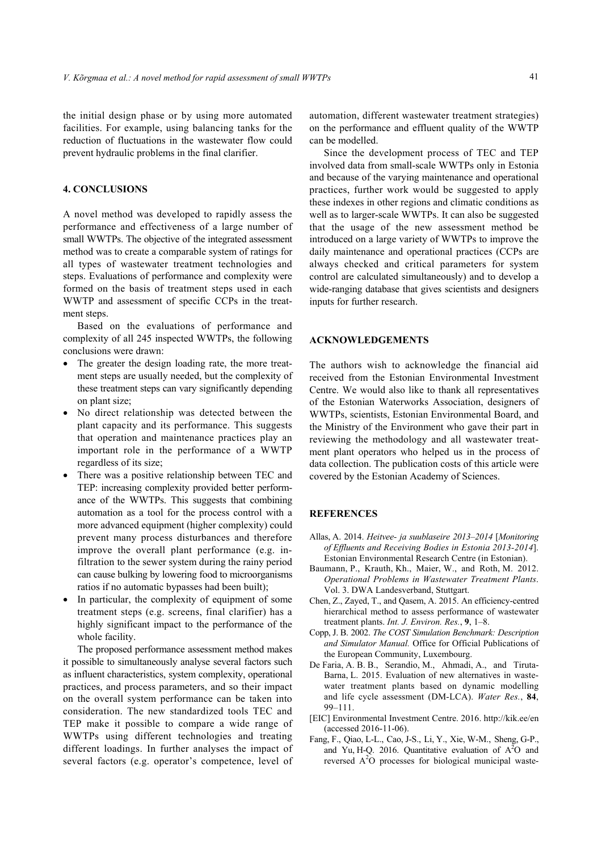the initial design phase or by using more automated facilities. For example, using balancing tanks for the reduction of fluctuations in the wastewater flow could prevent hydraulic problems in the final clarifier.

#### **4. CONCLUSIONS**

A novel method was developed to rapidly assess the performance and effectiveness of a large number of small WWTPs. The objective of the integrated assessment method was to create a comparable system of ratings for all types of wastewater treatment technologies and steps. Evaluations of performance and complexity were formed on the basis of treatment steps used in each WWTP and assessment of specific CCPs in the treatment steps.

Based on the evaluations of performance and complexity of all 245 inspected WWTPs, the following conclusions were drawn:

- The greater the design loading rate, the more treatment steps are usually needed, but the complexity of these treatment steps can vary significantly depending on plant size;
- No direct relationship was detected between the plant capacity and its performance. This suggests that operation and maintenance practices play an important role in the performance of a WWTP regardless of its size;
- There was a positive relationship between TEC and TEP: increasing complexity provided better performance of the WWTPs. This suggests that combining automation as a tool for the process control with a more advanced equipment (higher complexity) could prevent many process disturbances and therefore improve the overall plant performance (e.g. infiltration to the sewer system during the rainy period can cause bulking by lowering food to microorganisms ratios if no automatic bypasses had been built);
- In particular, the complexity of equipment of some treatment steps (e.g. screens, final clarifier) has a highly significant impact to the performance of the whole facility.

The proposed performance assessment method makes it possible to simultaneously analyse several factors such as influent characteristics, system complexity, operational practices, and process parameters, and so their impact on the overall system performance can be taken into consideration. The new standardized tools TEC and TEP make it possible to compare a wide range of WWTPs using different technologies and treating different loadings. In further analyses the impact of several factors (e.g. operator's competence, level of automation, different wastewater treatment strategies) on the performance and effluent quality of the WWTP can be modelled.

Since the development process of TEC and TEP involved data from small-scale WWTPs only in Estonia and because of the varying maintenance and operational practices, further work would be suggested to apply these indexes in other regions and climatic conditions as well as to larger-scale WWTPs. It can also be suggested that the usage of the new assessment method be introduced on a large variety of WWTPs to improve the daily maintenance and operational practices (CCPs are always checked and critical parameters for system control are calculated simultaneously) and to develop a wide-ranging database that gives scientists and designers inputs for further research.

### **ACKNOWLEDGEMENTS**

The authors wish to acknowledge the financial aid received from the Estonian Environmental Investment Centre. We would also like to thank all representatives of the Estonian Waterworks Association, designers of WWTPs, scientists, Estonian Environmental Board, and the Ministry of the Environment who gave their part in reviewing the methodology and all wastewater treatment plant operators who helped us in the process of data collection. The publication costs of this article were covered by the Estonian Academy of Sciences.

# **REFERENCES**

- Allas, A. 2014. *Heitvee- ja suublaseire 2013–2014* [*Monitoring of Effluents and Receiving Bodies in Estonia 2013-2014*]. Estonian Environmental Research Centre (in Estonian).
- Baumann, P., Krauth, Kh., Maier, W., and Roth, M. 2012. *Operational Problems in Wastewater Treatment Plants*. Vol. 3. DWA Landesverband, Stuttgart.
- Chen, Z., Zayed, T., and Qasem, A. 2015. An efficiency-centred hierarchical method to assess performance of wastewater treatment plants. *Int. J. Environ. Res.*, **9**, 1–8.
- Copp, J. B. 2002. *The COST Simulation Benchmark: Description and Simulator Manual.* Office for Official Publications of the European Community, Luxembourg.
- De Faria, A. B. B., Serandio, M., Ahmadi, A., and Tiruta-Barna, L. 2015. Evaluation of new alternatives in wastewater treatment plants based on dynamic modelling and life cycle assessment (DM-LCA). *Water Res.*, **84**, 99–111.
- [EIC] Environmental Investment Centre. 2016. http://kik.ee/en (accessed 2016-11-06).
- Fang, F., Qiao, L-L., Cao, J-S., Li, Y., Xie, W-M., Sheng, G-P., and Yu, H-Q. 2016. Quantitative evaluation of  $A^2O$  and reversed  $A<sup>2</sup>O$  processes for biological municipal waste-